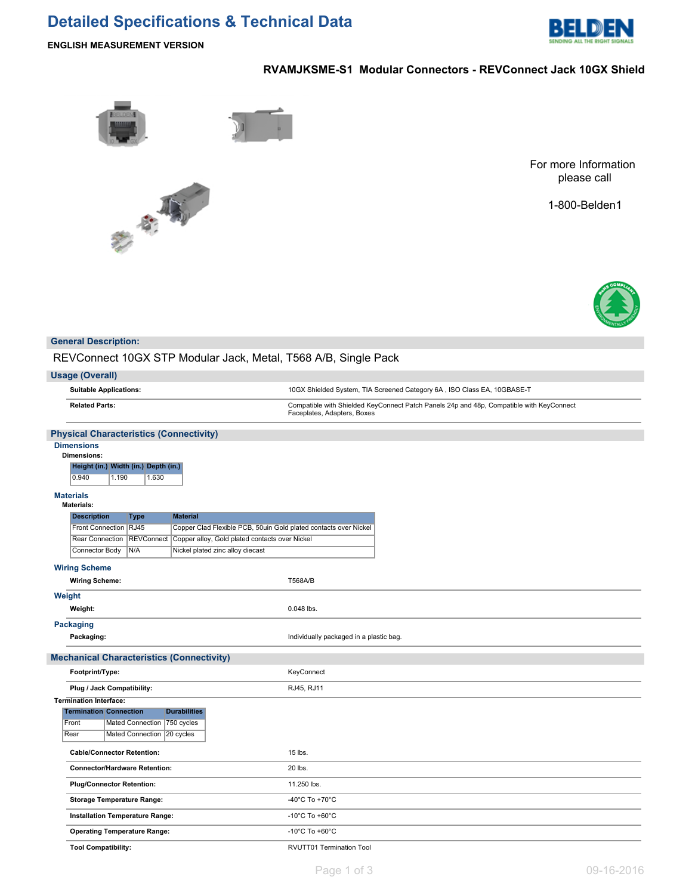# **Detailed Specifications & Technical Data**



**ENGLISH MEASUREMENT VERSION**

## **RVAMJKSME-S1 Modular Connectors - REVConnect Jack 10GX Shield**





For more Information please call

1-800-Belden1



### **General Description:**

REVConnect 10GX STP Modular Jack, Metal, T568 A/B, Single Pack

| <b>Usage (Overall)</b>                                                                                     |                                                                                                                         |  |  |  |  |  |  |  |
|------------------------------------------------------------------------------------------------------------|-------------------------------------------------------------------------------------------------------------------------|--|--|--|--|--|--|--|
| <b>Suitable Applications:</b>                                                                              | 10GX Shielded System, TIA Screened Category 6A, ISO Class EA, 10GBASE-T                                                 |  |  |  |  |  |  |  |
| <b>Related Parts:</b>                                                                                      | Compatible with Shielded KeyConnect Patch Panels 24p and 48p, Compatible with KeyConnect<br>Faceplates, Adapters, Boxes |  |  |  |  |  |  |  |
| <b>Physical Characteristics (Connectivity)</b>                                                             |                                                                                                                         |  |  |  |  |  |  |  |
| <b>Dimensions</b><br><b>Dimensions:</b><br>Height (in.) Width (in.) Depth (in.)<br>0.940<br>1.190<br>1.630 |                                                                                                                         |  |  |  |  |  |  |  |
| <b>Materials</b><br><b>Materials:</b>                                                                      |                                                                                                                         |  |  |  |  |  |  |  |
| <b>Material</b><br><b>Description</b><br>Type                                                              |                                                                                                                         |  |  |  |  |  |  |  |
| Front Connection   RJ45<br>Copper Clad Flexible PCB, 50uin Gold plated contacts over Nickel                |                                                                                                                         |  |  |  |  |  |  |  |
| Rear Connection   REVConnect<br>Copper alloy, Gold plated contacts over Nickel                             |                                                                                                                         |  |  |  |  |  |  |  |
| Connector Body<br>N/A<br>Nickel plated zinc alloy diecast                                                  |                                                                                                                         |  |  |  |  |  |  |  |
| <b>Wiring Scheme</b>                                                                                       |                                                                                                                         |  |  |  |  |  |  |  |
| <b>Wiring Scheme:</b>                                                                                      | <b>T568A/B</b>                                                                                                          |  |  |  |  |  |  |  |
| Weight                                                                                                     |                                                                                                                         |  |  |  |  |  |  |  |
| Weight:                                                                                                    | 0.048 lbs.                                                                                                              |  |  |  |  |  |  |  |
| <b>Packaging</b>                                                                                           |                                                                                                                         |  |  |  |  |  |  |  |
| Packaging:                                                                                                 | Individually packaged in a plastic bag.                                                                                 |  |  |  |  |  |  |  |
| <b>Mechanical Characteristics (Connectivity)</b>                                                           |                                                                                                                         |  |  |  |  |  |  |  |
| Footprint/Type:                                                                                            | KeyConnect                                                                                                              |  |  |  |  |  |  |  |
| Plug / Jack Compatibility:                                                                                 | RJ45, RJ11                                                                                                              |  |  |  |  |  |  |  |
| <b>Termination Interface:</b>                                                                              |                                                                                                                         |  |  |  |  |  |  |  |
| <b>Durabilities</b><br><b>Termination Connection</b>                                                       |                                                                                                                         |  |  |  |  |  |  |  |
| 750 cycles<br>Front<br>Mated Connection                                                                    |                                                                                                                         |  |  |  |  |  |  |  |
| Rear<br>Mated Connection<br>20 cycles                                                                      |                                                                                                                         |  |  |  |  |  |  |  |
| <b>Cable/Connector Retention:</b>                                                                          | 15 lbs.                                                                                                                 |  |  |  |  |  |  |  |
| <b>Connector/Hardware Retention:</b>                                                                       | 20 lbs.                                                                                                                 |  |  |  |  |  |  |  |
| <b>Plug/Connector Retention:</b>                                                                           | 11.250 lbs.                                                                                                             |  |  |  |  |  |  |  |
| <b>Storage Temperature Range:</b>                                                                          | -40 $^{\circ}$ C To +70 $^{\circ}$ C                                                                                    |  |  |  |  |  |  |  |
| Installation Temperature Range:                                                                            | -10 $^{\circ}$ C To +60 $^{\circ}$ C                                                                                    |  |  |  |  |  |  |  |
| <b>Operating Temperature Range:</b>                                                                        | -10 $^{\circ}$ C To +60 $^{\circ}$ C                                                                                    |  |  |  |  |  |  |  |
| <b>Tool Compatibility:</b>                                                                                 | RVUTT01 Termination Tool                                                                                                |  |  |  |  |  |  |  |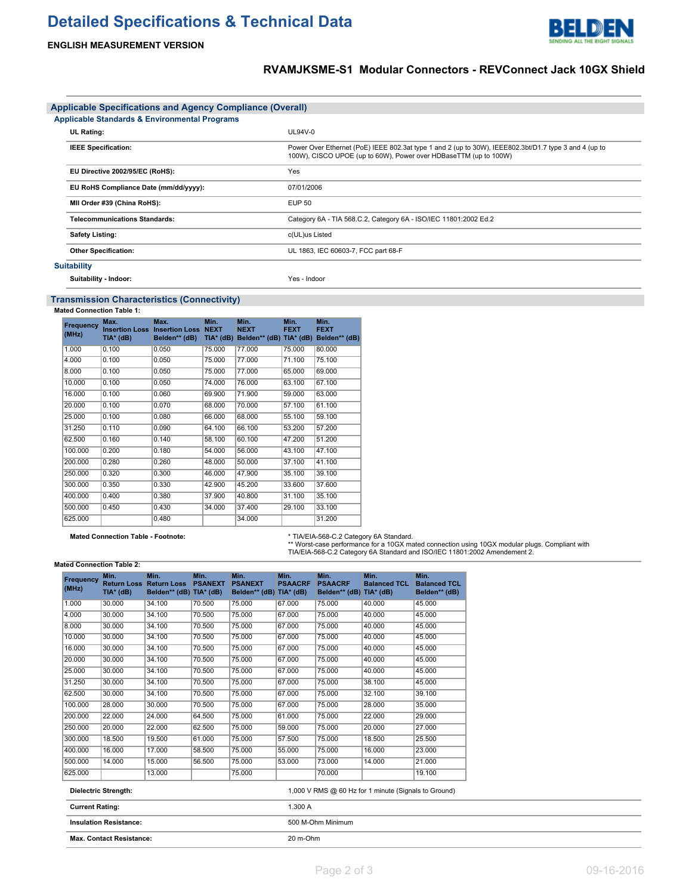# **Detailed Specifications & Technical Data**



## **RVAMJKSME-S1 Modular Connectors - REVConnect Jack 10GX Shield**

LDEN

RE

| <b>Applicable Specifications and Agency Compliance (Overall)</b> |                                       |                                                                                                                                                                           |  |  |  |  |  |
|------------------------------------------------------------------|---------------------------------------|---------------------------------------------------------------------------------------------------------------------------------------------------------------------------|--|--|--|--|--|
| <b>Applicable Standards &amp; Environmental Programs</b>         |                                       |                                                                                                                                                                           |  |  |  |  |  |
|                                                                  | <b>UL Rating:</b>                     | UL94V-0                                                                                                                                                                   |  |  |  |  |  |
|                                                                  | <b>IEEE Specification:</b>            | Power Over Ethernet (PoE) IEEE 802.3at type 1 and 2 (up to 30W), IEEE802.3bt/D1.7 type 3 and 4 (up to<br>100W), CISCO UPOE (up to 60W), Power over HDBaseTTM (up to 100W) |  |  |  |  |  |
|                                                                  | EU Directive 2002/95/EC (RoHS):       | Yes                                                                                                                                                                       |  |  |  |  |  |
|                                                                  | EU RoHS Compliance Date (mm/dd/yyyy): | 07/01/2006                                                                                                                                                                |  |  |  |  |  |
|                                                                  | MII Order #39 (China RoHS):           | EUP 50                                                                                                                                                                    |  |  |  |  |  |
|                                                                  | <b>Telecommunications Standards:</b>  | Category 6A - TIA 568.C.2, Category 6A - ISO/IEC 11801:2002 Ed.2                                                                                                          |  |  |  |  |  |
|                                                                  | <b>Safety Listing:</b>                | c(UL)us Listed                                                                                                                                                            |  |  |  |  |  |
|                                                                  | <b>Other Specification:</b>           | UL 1863, IEC 60603-7, FCC part 68-F                                                                                                                                       |  |  |  |  |  |
|                                                                  | <b>Suitability</b>                    |                                                                                                                                                                           |  |  |  |  |  |
|                                                                  | Suitability - Indoor:                 | Yes - Indoor                                                                                                                                                              |  |  |  |  |  |

### **Transmission Characteristics (Connectivity)**

**Mated Connection Table 1:**

| Frequency<br>(MHz) | Max.<br><b>Insertion Loss</b><br>TIA* (dB) | Max.<br><b>Insertion Loss NEXT</b><br>Belden** (dB) | Min.<br>$TIA*$ (dB) | Min.<br><b>NEXT</b><br>Belden** (dB) TIA* (dB) | Min.<br><b>FEXT</b> | Min.<br><b>FEXT</b><br>Belden** (dB) |
|--------------------|--------------------------------------------|-----------------------------------------------------|---------------------|------------------------------------------------|---------------------|--------------------------------------|
| 1.000              | 0.100                                      | 0.050                                               | 75.000              | 77.000                                         | 75.000              | 80.000                               |
| 4.000              | 0.100                                      | 0.050                                               | 75,000              | 77.000                                         | 71.100              | 75.100                               |
| 8.000              | 0.100                                      | 0.050                                               | 75,000              | 77,000                                         | 65.000              | 69.000                               |
| 10.000             | 0.100                                      | 0.050                                               | 74.000              | 76,000                                         | 63.100              | 67.100                               |
| 16.000             | 0.100                                      | 0.060                                               | 69.900              | 71.900                                         | 59.000              | 63.000                               |
| 20.000             | 0.100                                      | 0.070                                               | 68,000              | 70.000                                         | 57.100              | 61.100                               |
| 25.000             | 0.100                                      | 0.080                                               | 66.000              | 68,000                                         | 55.100              | 59.100                               |
| 31.250             | 0.110                                      | 0.090                                               | 64.100              | 66.100                                         | 53.200              | 57.200                               |
| 62.500             | 0.160                                      | 0.140                                               | 58.100              | 60.100                                         | 47.200              | 51.200                               |
| 100.000            | 0.200                                      | 0.180                                               | 54.000              | 56.000                                         | 43.100              | 47.100                               |
| 200.000            | 0.280                                      | 0.260                                               | 48.000              | 50.000                                         | 37.100              | 41.100                               |
| 250.000            | 0.320                                      | 0.300                                               | 46.000              | 47.900                                         | 35.100              | 39.100                               |
| 300.000            | 0.350                                      | 0.330                                               | 42.900              | 45.200                                         | 33.600              | 37.600                               |
| 400.000            | 0.400                                      | 0.380                                               | 37.900              | 40.800                                         | 31.100              | 35.100                               |
| 500.000            | 0.450                                      | 0.430                                               | 34.000              | 37.400                                         | 29.100              | 33.100                               |
| 625.000            |                                            | 0.480                                               |                     | 34.000                                         |                     | 31.200                               |

**Mated Connection Table - Footnote:** \* TIA/EIA-568-C.2 Category 6A Standard. \*\* Worst-case performance for a 10GX mated connection using 10GX modular plugs. Compliant with TIA/EIA-568-C.2 Category 6A Standard and ISO/IEC 11801:2002 Amendement 2.

#### **Mated Connection Table 2:**

| Frequency<br>(MHz)              | Min.<br><b>Return Loss</b><br>$TIA*$ (dB) | Min.<br><b>Return Loss</b><br>Belden** (dB) TIA* (dB) | Min.<br><b>PSANEXT</b> | Min.<br><b>PSANEXT</b><br>Belden** (dB) TIA* (dB) | Min.<br><b>PSAACRF</b> | Min.<br><b>PSAACRF</b><br>Belden** (dB) TIA* (dB) | Min.<br><b>Balanced TCL</b>                          | Min.<br><b>Balanced TCL</b><br>Belden** (dB) |
|---------------------------------|-------------------------------------------|-------------------------------------------------------|------------------------|---------------------------------------------------|------------------------|---------------------------------------------------|------------------------------------------------------|----------------------------------------------|
| 1.000                           | 30.000                                    | 34.100                                                | 70.500                 | 75.000                                            | 67.000                 | 75.000                                            | 40.000                                               | 45.000                                       |
| 4.000                           | 30.000                                    | 34.100                                                | 70.500                 | 75.000                                            | 67.000                 | 75.000                                            | 40.000                                               | 45.000                                       |
| 8.000                           | 30.000                                    | 34.100                                                | 70.500                 | 75.000                                            | 67,000                 | 75.000                                            | 40.000                                               | 45.000                                       |
| 10.000                          | 30.000                                    | 34.100                                                | 70.500                 | 75.000                                            | 67.000                 | 75.000                                            | 40.000                                               | 45.000                                       |
| 16.000                          | 30.000                                    | 34.100                                                | 70.500                 | 75.000                                            | 67.000                 | 75,000                                            | 40.000                                               | 45.000                                       |
| 20.000                          | 30.000                                    | 34.100                                                | 70.500                 | 75.000                                            | 67,000                 | 75.000                                            | 40.000                                               | 45.000                                       |
| 25.000                          | 30.000                                    | 34.100                                                | 70.500                 | 75.000                                            | 67.000                 | 75,000                                            | 40.000                                               | 45.000                                       |
| 31.250                          | 30.000                                    | 34.100                                                | 70.500                 | 75.000                                            | 67.000                 | 75.000                                            | 38.100                                               | 45.000                                       |
| 62.500                          | 30.000                                    | 34.100                                                | 70.500                 | 75.000                                            | 67.000                 | 75.000                                            | 32.100                                               | 39.100                                       |
| 100.000                         | 28.000                                    | 30.000                                                | 70.500                 | 75.000                                            | 67.000                 | 75.000                                            | 28.000                                               | 35.000                                       |
| 200.000                         | 22.000                                    | 24.000                                                | 64.500                 | 75.000                                            | 61.000                 | 75.000                                            | 22.000                                               | 29.000                                       |
| 250.000                         | 20.000                                    | 22.000                                                | 62.500                 | 75.000                                            | 59.000                 | 75,000                                            | 20.000                                               | 27.000                                       |
| 300.000                         | 18.500                                    | 19.500                                                | 61.000                 | 75.000                                            | 57.500                 | 75,000                                            | 18.500                                               | 25.500                                       |
| 400.000                         | 16.000                                    | 17.000                                                | 58.500                 | 75.000                                            | 55.000                 | 75.000                                            | 16.000                                               | 23.000                                       |
| 500.000                         | 14.000                                    | 15.000                                                | 56.500                 | 75.000                                            | 53,000                 | 73.000                                            | 14.000                                               | 21.000                                       |
| 625.000                         |                                           | 13.000                                                |                        | 75.000                                            |                        | 70.000                                            |                                                      | 19.100                                       |
|                                 | <b>Dielectric Strength:</b>               |                                                       |                        |                                                   |                        |                                                   | 1,000 V RMS @ 60 Hz for 1 minute (Signals to Ground) |                                              |
| <b>Current Rating:</b>          |                                           |                                                       |                        |                                                   | 1.300 A                |                                                   |                                                      |                                              |
| <b>Insulation Resistance:</b>   |                                           |                                                       |                        |                                                   | 500 M-Ohm Minimum      |                                                   |                                                      |                                              |
| <b>Max. Contact Resistance:</b> |                                           |                                                       |                        |                                                   | 20 m-Ohm               |                                                   |                                                      |                                              |